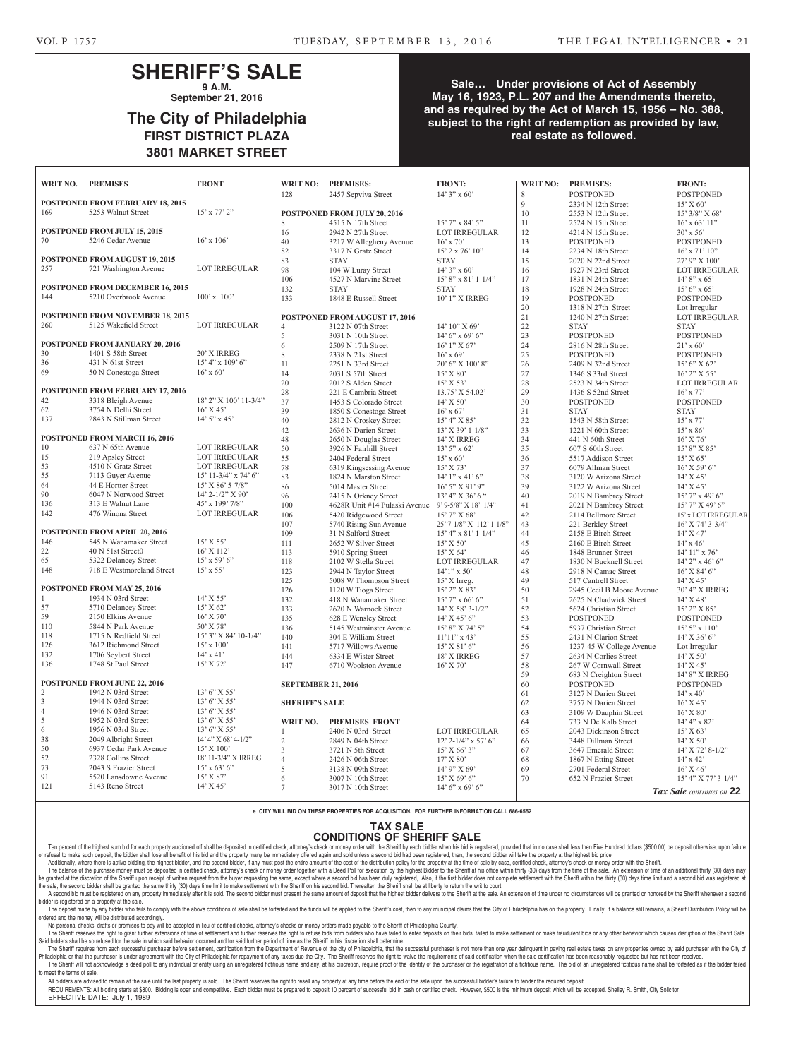### **SHERIFF'S SALE 9 A.M.**

**September 21, 2016**

## **The City of Philadelphia FIRST DISTRICT PLAZA 3801 MARKET STREET**

#### **Sale… Under provisions of Act of Assembly May 16, 1923, P.L. 207 and the Amendments thereto, and as required by the Act of March 15, 1956 – No. 388, subject to the right of redemption as provided by law, real estate as followed.**

| WRIT NO.                                | <b>PREMISES</b>                                                | <b>FRONT</b>                              | WRIT NO:                       | <b>PREMISES:</b>                                                          | <b>FRONT:</b>                        | WRIT NO: | <b>PREMISES:</b>                               | <b>FRONT:</b>                      |
|-----------------------------------------|----------------------------------------------------------------|-------------------------------------------|--------------------------------|---------------------------------------------------------------------------|--------------------------------------|----------|------------------------------------------------|------------------------------------|
|                                         |                                                                |                                           | 128                            | 2457 Sepviva Street                                                       | $14'3''$ x 60'                       | 8        | <b>POSTPONED</b>                               | <b>POSTPONED</b>                   |
|                                         | POSTPONED FROM FEBRUARY 18, 2015                               |                                           |                                |                                                                           |                                      | 9        | 2334 N 12th Street                             | 15' X 60'                          |
| 169                                     | 5253 Walnut Street                                             | $15'$ x $77'$ $2"$                        |                                | <b>POSTPONED FROM JULY 20, 2016</b>                                       |                                      | 10       | 2553 N 12th Street                             | $15'$ 3/8" X 68'                   |
|                                         |                                                                |                                           | 8                              | 4515 N 17th Street                                                        | $15'$ 7" x 84' 5"                    | 11       | 2524 N 15th Street                             | $16'$ x 63' $11"$                  |
|                                         | POSTPONED FROM JULY 15, 2015                                   |                                           | 16                             | 2942 N 27th Street                                                        | <b>LOT IRREGULAR</b>                 | 12       | 4214 N 15th Street                             | $30'$ x 56'                        |
| 70                                      | 5246 Cedar Avenue                                              | $16'$ x $106'$                            | 40                             | 3217 W Allegheny Avenue                                                   | $16'$ x 70'                          | 13       | <b>POSTPONED</b>                               | <b>POSTPONED</b>                   |
|                                         |                                                                |                                           | 82                             | 3317 N Gratz Street                                                       | $15'$ 2 x 76' $10''$                 | 14       | 2234 N 18th Street                             | $16'$ x $71'$ $10''$               |
| 257                                     | <b>POSTPONED FROM AUGUST 19, 2015</b><br>721 Washington Avenue | <b>LOT IRREGULAR</b>                      | 83                             | <b>STAY</b>                                                               | <b>STAY</b>                          | 15       | 2020 N 22nd Street                             | 27' 9" X 100'                      |
|                                         |                                                                |                                           | 98<br>106                      | 104 W Luray Street                                                        | $14'3''$ x 60'                       | 16<br>17 | 1927 N 23rd Street                             | <b>LOT IRREGULAR</b>               |
|                                         | POSTPONED FROM DECEMBER 16, 2015                               |                                           | 132                            | 4527 N Marvine Street<br><b>STAY</b>                                      | $15'8''$ x 81' 1-1/4"<br><b>STAY</b> | 18       | 1831 N 24th Street<br>1928 N 24th Street       | $14'8''$ x 65'<br>$15'6''$ x 65'   |
| 144                                     | 5210 Overbrook Avenue                                          | $100'$ x $100'$                           | 133                            | 1848 E Russell Street                                                     | 10' 1" X IRREG                       | 19       | <b>POSTPONED</b>                               | <b>POSTPONED</b>                   |
|                                         |                                                                |                                           |                                |                                                                           |                                      | 20       | 1318 N 27th Street                             | Lot Irregular                      |
|                                         | POSTPONED FROM NOVEMBER 18, 2015                               |                                           | POSTPONED FROM AUGUST 17, 2016 |                                                                           |                                      | $21\,$   | 1240 N 27th Street                             | <b>LOT IRREGULAR</b>               |
| 260                                     | 5125 Wakefield Street                                          | <b>LOT IRREGULAR</b>                      | $\overline{4}$                 | 3122 N 07th Street                                                        | 14' 10'' X 69'                       | $22\,$   | <b>STAY</b>                                    | <b>STAY</b>                        |
|                                         |                                                                |                                           | 5                              | 3031 N 10th Street                                                        | $14'6''$ x 69' 6"                    | 23       | <b>POSTPONED</b>                               | <b>POSTPONED</b>                   |
|                                         | POSTPONED FROM JANUARY 20, 2016                                |                                           | 6                              | 2509 N 17th Street                                                        | $16'1''$ X 67'                       | $24\,$   | 2816 N 28th Street                             | $21'$ x 60'                        |
| 30                                      | 1401 S 58th Street                                             | 20' X IRREG                               | 8                              | 2338 N 21st Street                                                        | $16'$ x 69'                          | $25\,$   | <b>POSTPONED</b>                               | <b>POSTPONED</b>                   |
| 36                                      | 431 N 61st Street                                              | $15'$ 4" x $109'$ 6"                      | 11                             | 2251 N 33rd Street                                                        | $20'$ 6" X $100'$ 8"                 | $26\,$   | 2409 N 32nd Street                             | 15' 6''  X 62'                     |
| 69                                      | 50 N Conestoga Street                                          | $16'$ x 60'                               | 14                             | 2031 S 57th Street                                                        | 15' X 80'                            | $27\,$   | 1346 S 33rd Street                             | $16'$ 2" X 55'                     |
|                                         |                                                                |                                           | $20\,$                         | 2012 S Alden Street                                                       | $15'$ X 53'                          | 28       | 2523 N 34th Street                             | LOT IRREGULAR                      |
|                                         | POSTPONED FROM FEBRUARY 17, 2016                               |                                           | $28\,$                         | 221 E Cambria Street                                                      | 13.75' X 54.02'                      | 29       | 1436 S 52nd Street                             | $16'$ x 77'                        |
| $42\,$                                  | 3318 Bleigh Avenue                                             | 18' 2" X 100' 11-3/4"                     | 37                             | 1453 S Colorado Street                                                    | $14'$ X 50'                          | 30       | <b>POSTPONED</b>                               | <b>POSTPONED</b>                   |
| 62                                      | 3754 N Delhi Street                                            | $16'$ X 45'                               | 39                             | 1850 S Conestoga Street                                                   | $16'$ x 67'                          | 31       | <b>STAY</b>                                    | <b>STAY</b>                        |
| 137                                     | 2843 N Stillman Street                                         | $14'$ 5" x 45"                            | $40\,$                         | 2812 N Croskey Street                                                     | 15' 4" X 85'                         | $32\,$   | 1543 N 58th Street                             | $15'$ x $77'$                      |
|                                         |                                                                |                                           | $42\,$                         | 2636 N Darien Street                                                      | $13'$ X 39' 1-1/8"                   | 33       | 1221 N 60th Street                             | $15' \times 86'$                   |
|                                         | POSTPONED FROM MARCH 16, 2016                                  |                                           | $48\,$                         | 2650 N Douglas Street                                                     | 14' X IRREG                          | 34       | 441 N 60th Street                              | 16' X 76'                          |
| 10<br>$15\,$                            | 637 N 65th Avenue                                              | LOT IRREGULAR                             | 50                             | 3926 N Fairhill Street                                                    | $13'5''$ x 62'                       | 35       | 607 S 60th Street                              | $15'8''$ X 85'                     |
| 53                                      | 219 Apsley Street<br>4510 N Gratz Street                       | <b>LOT IRREGULAR</b>                      | 55                             | 2404 Federal Street                                                       | $15'$ x 60'                          | 36       | 5517 Addison Street                            | $15'$ X 65'                        |
| 55                                      | 7113 Guyer Avenue                                              | LOT IRREGULAR<br>$15'$ 11-3/4" x 74' 6"   | $78\,$                         | 6319 Kingsessing Avenue                                                   | 15' X 73'                            | 37       | 6079 Allman Street                             | $16'$ X 59' 6"                     |
| 64                                      | 44 E Hortter Street                                            | 15' X 86' 5-7/8"                          | 83                             | 1824 N Marston Street                                                     | $14'1''$ x $41'6''$                  | 38       | 3120 W Arizona Street                          | $14'$ X 45'                        |
| 90                                      | 6047 N Norwood Street                                          | $14'$ 2- $1/2''$ X 90'                    | 86<br>96                       | 5014 Master Street                                                        | $16'$ 5" X 91' 9"                    | 39<br>40 | 3122 W Arizona Street                          | 14' X 45'                          |
| 136                                     | 313 E Walnut Lane                                              | 45' x 199' 7/8"                           | 100                            | 2415 N Orkney Street<br>4628R Unit #14 Pulaski Avenue 9'9-5/8" X 18' 1/4" | 13' 4" X 36' 6"                      | 41       | 2019 N Bambrey Street<br>2021 N Bambrey Street | 15' 7" x 49' 6"<br>15' 7" X 49' 6" |
| 142                                     | 476 Winona Street                                              | LOT IRREGULAR                             | 106                            | 5420 Ridgewood Street                                                     | $15'$ 7" X 68'                       | $42\,$   | 2114 Bellmore Street                           | 15' x LOT IRREGULAR                |
|                                         |                                                                |                                           | 107                            | 5740 Rising Sun Avenue                                                    | 25' 7-1/8" X 112' 1-1/8"             | 43       | 221 Berkley Street                             | $16'$ X 74' 3-3/4"                 |
|                                         | POSTPONED FROM APRIL 20, 2016                                  |                                           | 109                            | 31 N Salford Street                                                       | $15'$ 4" x 81' 1-1/4"                | 44       | 2158 E Birch Street                            | 14' X 47'                          |
| 146                                     | 545 N Wanamaker Street                                         | $15'$ X 55'                               | 111                            | 2652 W Silver Street                                                      | $15'$ X 50'                          | 45       | 2160 E Birch Street                            | $14'$ x $46'$                      |
| $22\,$                                  | 40 N 51st Street0                                              | 16' X 112'                                | 113                            | 5910 Spring Street                                                        | 15' X 64'                            | 46       | 1848 Brunner Street                            | $14'$ $11''$ x $76'$               |
| 65                                      | 5322 Delancey Street                                           | $15'$ x 59' 6"                            | 118                            | 2102 W Stella Street                                                      | LOT IRREGULAR                        | 47       | 1830 N Bucknell Street                         | $14'$ 2" x 46' 6"                  |
| 148                                     | 718 E Westmoreland Street                                      | $15' \times 55'$                          | 123                            | 2944 N Taylor Street                                                      | $14'1''$ x 50'                       | 48       | 2918 N Camac Street                            | $16'$ X 84' 6"                     |
|                                         |                                                                |                                           | 125                            | 5008 W Thompson Street                                                    | $15'$ X Irreg.                       | 49       | 517 Cantrell Street                            | 14' X 45'                          |
|                                         | POSTPONED FROM MAY 25, 2016                                    |                                           | 126                            | 1120 W Tioga Street                                                       | 15' 2" X 83'                         | 50       | 2945 Cecil B Moore Avenue                      | 30' 4" X IRREG                     |
|                                         | 1934 N 03rd Street                                             | $14'$ X 55'                               | 132                            | 418 N Wanamaker Street                                                    | $15'$ 7" x 66' 6"                    | 51       | 2625 N Chadwick Street                         | $14'$ X 48'                        |
| 57                                      | 5710 Delancey Street                                           | 15' X 62'                                 | 133                            | 2620 N Warnock Street                                                     | $14'$ X 58' 3-1/2"                   | 52       | 5624 Christian Street                          | $15'$ 2" X 85'                     |
| 59                                      | 2150 Elkins Avenue                                             | 16' X 70'                                 | 135                            | 628 E Wensley Street                                                      | $14'$ X 45' 6"                       | 53       | <b>POSTPONED</b>                               | <b>POSTPONED</b>                   |
| 110                                     | 5844 N Park Avenue                                             | 50' X 78'                                 | 136                            | 5145 Westminster Avenue                                                   | 15' 8" X 74' 5"                      | 54       | 5937 Christian Street                          | $15'$ 5" x $110'$                  |
| 118<br>126                              | 1715 N Redfield Street<br>3612 Richmond Street                 | 15' 3" X 84' 10-1/4"<br>$15' \times 100'$ | 140                            | 304 E William Street                                                      | $11'11''$ x 43'                      | 55       | 2431 N Clarion Street                          | $14^\circ$ X 36' 6"                |
| 132                                     | 1706 Seybert Street                                            |                                           | 141                            | 5717 Willows Avenue                                                       | 15' X 81' 6"                         | 56       | 1237-45 W College Avenue                       | Lot Irregular                      |
| 136                                     | 1748 St Paul Street                                            | $14' \times 41'$<br>15' X 72'             | 144                            | 6334 E Wister Street                                                      | 18' X IRREG                          | 57       | 2634 N Corlies Street                          | 14' X 50'                          |
|                                         |                                                                |                                           | 147                            | 6710 Woolston Avenue                                                      | $16'$ X 70'                          | 58       | 267 W Cornwall Street                          | 14' X 45'                          |
| <b>POSTPONED FROM JUNE 22, 2016</b>     |                                                                |                                           |                                |                                                                           |                                      | 59<br>60 | 683 N Creighton Street                         | 14' 8" X IRREG                     |
| 1942 N 03rd Street<br>13' 6" X 55'<br>2 |                                                                |                                           | <b>SEPTEMBER 21, 2016</b>      |                                                                           |                                      | 61       | <b>POSTPONED</b><br>3127 N Darien Street       | <b>POSTPONED</b><br>$14'$ x $40'$  |
| $\mathfrak{Z}$                          | 1944 N 03rd Street                                             | $13'$ 6" X 55"                            | <b>SHERIFF'S SALE</b>          |                                                                           |                                      | 62       | 3757 N Darien Street                           | $16'$ X 45'                        |
| $\overline{4}$                          | 1946 N 03rd Street                                             | 13' 6" X 55'                              |                                |                                                                           |                                      | 63       | 3109 W Dauphin Street                          | $16'$ X $80'$                      |
| 5                                       | 1952 N 03rd Street                                             | 13' 6" X 55'                              | WRIT NO.                       | <b>PREMISES FRONT</b>                                                     |                                      | 64       | 733 N De Kalb Street                           | 14' 4" x 82'                       |
| 6                                       | 1956 N 03rd Street                                             | $13'$ 6" X 55"                            |                                | 2406 N 03rd Street                                                        | <b>LOT IRREGULAR</b>                 | 65       | 2043 Dickinson Street                          | 15' X 63'                          |
| 38                                      | 2049 Albright Street                                           | $14'$ 4" X 68' 4-1/2"                     | $\overline{2}$                 | 2849 N 04th Street                                                        | $12'$ 2-1/4" x 57' 6"                | 66       | 3448 Dillman Street                            | 14' X 50'                          |
| 50                                      | 6937 Cedar Park Avenue                                         | $15'$ X $100'$                            | 3                              | 3721 N 5th Street                                                         | $15'$ X 66' 3"                       | 67       | 3647 Emerald Street                            | $14'$ X 72' 8-1/2"                 |
| 52                                      | 2328 Collins Street                                            | 18' 11-3/4" X IRREG                       | $\overline{4}$                 | 2426 N 06th Street                                                        | 17' X 80'                            | 68       | 1867 N Etting Street                           | $14' \times 42'$                   |
| 73                                      | 2043 S Frazier Street                                          | $15'$ x 63' 6"                            | 5                              | 3138 N 09th Street                                                        | $14'$ 9" X 69'                       | 69       | 2701 Federal Street                            | $16'$ X 46'                        |
| 91                                      | 5520 Lansdowne Avenue                                          | 15' X 87'                                 | 6                              | 3007 N 10th Street                                                        | 15' X 69' 6''                        | 70       | 652 N Frazier Street                           | 15' 4" X 77' 3-1/4"                |
| 121                                     | 5143 Reno Street                                               | $14'$ X $45'$                             |                                | 3017 N 10th Street                                                        | $14'$ 6" x 69' 6"                    |          |                                                | Tax Sale continues on 22           |

**e CITY WILL BID ON THESE PROPERTIES FOR ACQUISITION. FOR FURTHER INFORMATION CALL 686-6552**

#### **TAX SALE CONDITIONS OF SHERIFF SALE**

Ten percent of the highest sum bid for each property auctioned off shall be deposited in certified check, attorney's check or money order with the Sheriff by each bidder when his bid is registered, provided that in no case or retusal to make such deposit, the bidder shall lose all benetit of his bid and the property many be immediately offered again and sold unless a second bid had been registered, then, the second bidder will take the prope

Additionally, where there is active bidding, the highest bidder, and the second bidder, if any must post the entire amount of the cost of the distribution policy for the property at the time of sale by case, certified chec The balance of the purchase money must be deposited in certified check, attorney's check or money order together with a Deed Poll for execution by the highest Bidder to the Sheriff at his office within thirty (30) days fro be granted at the discretion of the Sheriff upon receipt of written request from the buyer requesting the same, except where a second bid has been duly registered, Also, if the first bidder does not complete settlement wit the sale, the second bidder shall be granted the same thirty (30) days time limit to make settlement with the Sheriff on his second bid. Thereafter, the Sheriff shall be at liberty to return the writ to court

A second bid must be registered on any property immediately after it is sold. The second bidder must present the same amount of deposit that the highest bidder delivers to the Sheriff at the sale. An extension of time unde bidder is registered on a property at the sale.

The deposit made by any bidder who fails to comply with the above conditions of sale shall be forfeited and the funds will be applied to the Sheriff's cost, then to any municipal claims that the City of Philadelphia has on dered and the money will be distributed accordingly.

No personal checks, drafts or promises to pay will be accepted in lieu of certified checks, attorney's checks or money orders made payable to the Sheriff of Philadelphia County. The Sheriff reserves the right to grant further extensions of time of settlement and further reserves the right to refuse bids from bidders who have failed to enter deposits on their bids, failed to make settlement or make Said bidders shall be so refused for the sale in which said behavior occurred and for said further period of time as the Sheriff in his discretion shall determine.

The Sheriff requires from each successful purchaser before settlement, certification from the Department of Revenue of the city of Philadelphia, that the successful purchaser is not more than one year delinquent in paying Philadelphia or that the purchaser is under agreement with the City of Philadelphia for repayment of any taxes due the City. The Sheriff reserves the right to waive the requirements of said certification when the said cert The Sheriff will not acknowledge a deed poll to any individual or entity using an unregistered fictitious name and any, at his discretion, require proof of the identity of the purchaser or the registration of a fictitious to meet the terms of sale.

All bidders are advised to remain at the sale until the last property is sold. The Sheriff reserves the right to resell any property at any time before the end of the sale upon the successful bidder's failure to tender the REQUIREMENTS: All bidding starts at \$800. Bidding is open and competitive. Each bidder must be prepared to deposit 10 percent of successful bid in cash or certified check. However, \$500 is the minimum deposit which will be EFFECTIVE DATE: July 1, 1989